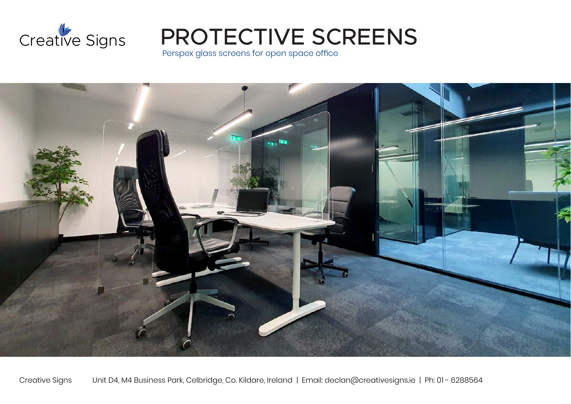

PROTECTIVE SCREENS

Perspex glass screens for open space office



Creative Signs Unit D4, M4 Business Park, Celbridge, Co. Kildare, Ireland | Email: declan@creativesigns.ie | Ph: 01 - 6288564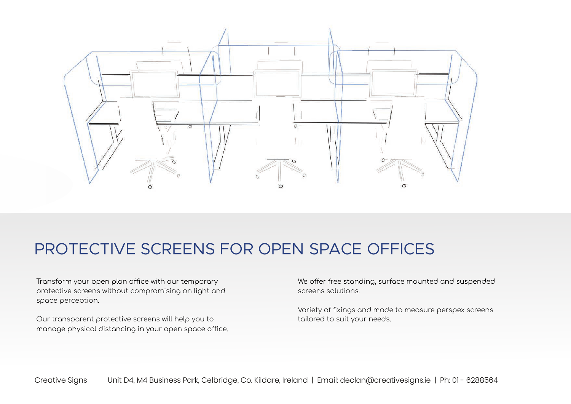

### PROTECTIVE SCREENS FOR OPEN SPACE OFFICES

Transform your open plan office with our temporary protective screens without compromising on light and space perception.

Our transparent protective screens will help you to manage physical distancing in your open space office. We offer free standing, surface mounted and suspended screens solutions.

Variety of fixings and made to measure perspex screens tailored to suit your needs.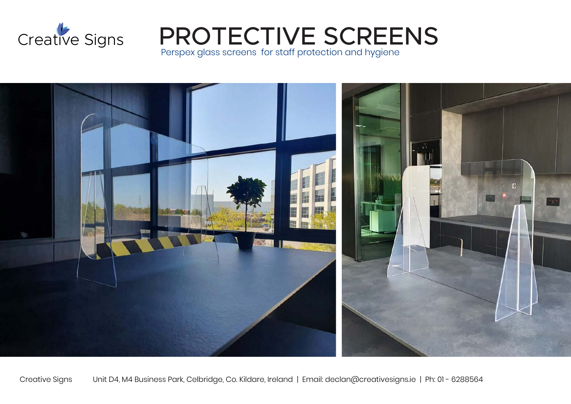

PROTECTIVE SCREENS

Perspex glass screens for staff protection and hygiene



Creative Signs Unit D4, M4 Business Park, Celbridge, Co. Kildare, Ireland | Email: declan@creativesigns.ie | Ph: 01 - 6288564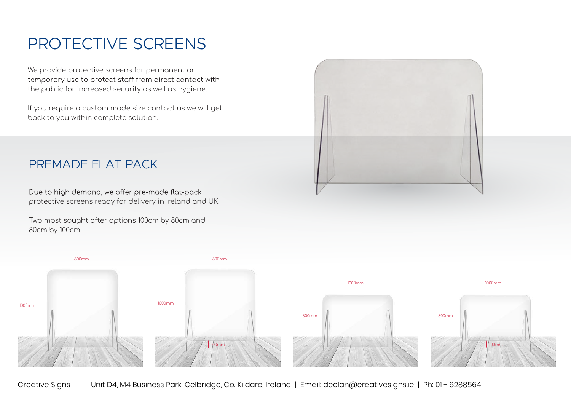## PROTECTIVE SCREENS

We provide protective screens for permanent or temporary use to protect staff from direct contact with the public for increased security as well as hygiene.

If you require a custom made size contact us we will get back to you within complete solution.



#### PREMADE FLAT PACK

Due to high demand, we offer pre-made flat-pack protective screens ready for delivery in Ireland and UK.

Two most sought after options 100cm by 80cm and 80cm by 100cm



Creative Signs Unit D4, M4 Business Park, Celbridge, Co. Kildare, Ireland | Email: declan@creativesigns.ie | Ph: 01 - 6288564